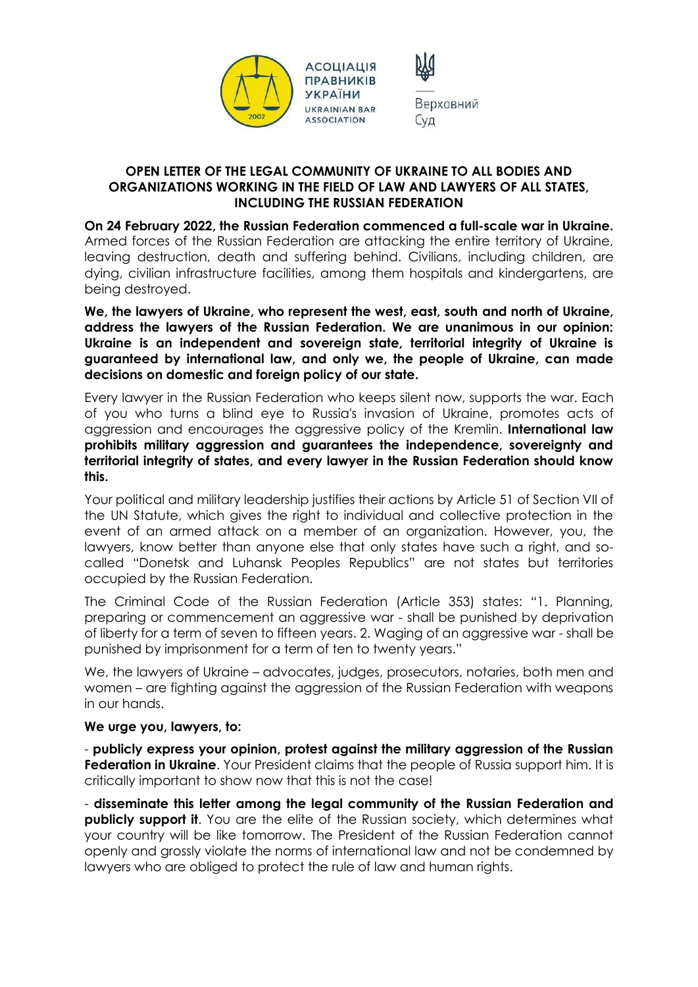

## **OPEN LETTER OF THE LEGAL COMMUNITY OF UKRAINE TO ALL BODIES AND ORGANIZATIONS WORKING IN THE FIELD OF LAW AND LAWYERS OF ALL STATES, INCLUDING THE RUSSIAN FEDERATION**

**On 24 February 2022, the Russian Federation commenced a full-scale war in Ukraine.** Armed forces of the Russian Federation are attacking the entire territory of Ukraine, leaving destruction, death and suffering behind. Civilians, including children, are dying, civilian infrastructure facilities, among them hospitals and kindergartens, are being destroyed.

**We, the lawyers of Ukraine, who represent the west, east, south and north of Ukraine, address the lawyers of the Russian Federation. We are unanimous in our opinion: Ukraine is an independent and sovereign state, territorial integrity of Ukraine is guaranteed by international law, and only we, the people of Ukraine, can made decisions on domestic and foreign policy of our state.**

Every lawyer in the Russian Federation who keeps silent now, supports the war. Each of you who turns a blind eye to Russia's invasion of Ukraine, promotes acts of aggression and encourages the aggressive policy of the Kremlin. **International law prohibits military aggression and guarantees the independence, sovereignty and territorial integrity of states, and every lawyer in the Russian Federation should know this.**

Your political and military leadership justifies their actions by Article 51 of Section VII of the UN Statute, which gives the right to individual and collective protection in the event of an armed attack on a member of an organization. However, you, the lawyers, know better than anyone else that only states have such a right, and socalled "Donetsk and Luhansk Peoples Republics" are not states but territories occupied by the Russian Federation.

The Criminal Code of the Russian Federation (Article 353) states: "1. Planning, preparing or commencement an aggressive war - shall be punished by deprivation of liberty for a term of seven to fifteen years. 2. Waging of an aggressive war - shall be punished by imprisonment for a term of ten to twenty years."

We, the lawyers of Ukraine – advocates, judges, prosecutors, notaries, both men and women – are fighting against the aggression of the Russian Federation with weapons in our hands.

## **We urge you, lawyers, to:**

- **publicly express your opinion, protest against the military aggression of the Russian Federation in Ukraine.** Your President claims that the people of Russia support him. It is critically important to show now that this is not the case!

- **disseminate this letter among the legal community of the Russian Federation and publicly support it.** You are the elite of the Russian society, which determines what your country will be like tomorrow. The President of the Russian Federation cannot openly and grossly violate the norms of international law and not be condemned by lawyers who are obliged to protect the rule of law and human rights.